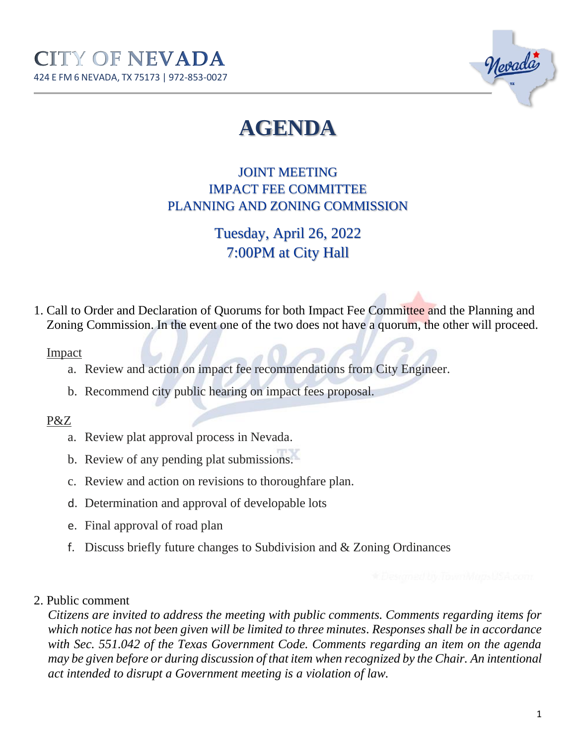

# **AGENDA**

JOINT MEETING IMPACT FEE COMMITTEE PLANNING AND ZONING COMMISSION

# Tuesday, April 26, 2022 7:00PM at City Hall

1. Call to Order and Declaration of Quorums for both Impact Fee Committee and the Planning and Zoning Commission. In the event one of the two does not have a quorum, the other will proceed.

#### Impact

- a. Review and action on impact fee recommendations from City Engineer.
- b. Recommend city public hearing on impact fees proposal.

## P&Z

- a. Review plat approval process in Nevada.
- b. Review of any pending plat submissions.
- c. Review and action on revisions to thoroughfare plan.
- d. Determination and approval of developable lots
- e. Final approval of road plan
- f. Discuss briefly future changes to Subdivision and & Zoning Ordinances

### 2. Public comment

*Citizens are invited to address the meeting with public comments. Comments regarding items for which notice has not been given will be limited to three minutes. Responses shall be in accordance with Sec. 551.042 of the Texas Government Code. Comments regarding an item on the agenda may be given before or during discussion of that item when recognized by the Chair. An intentional act intended to disrupt a Government meeting is a violation of law.*